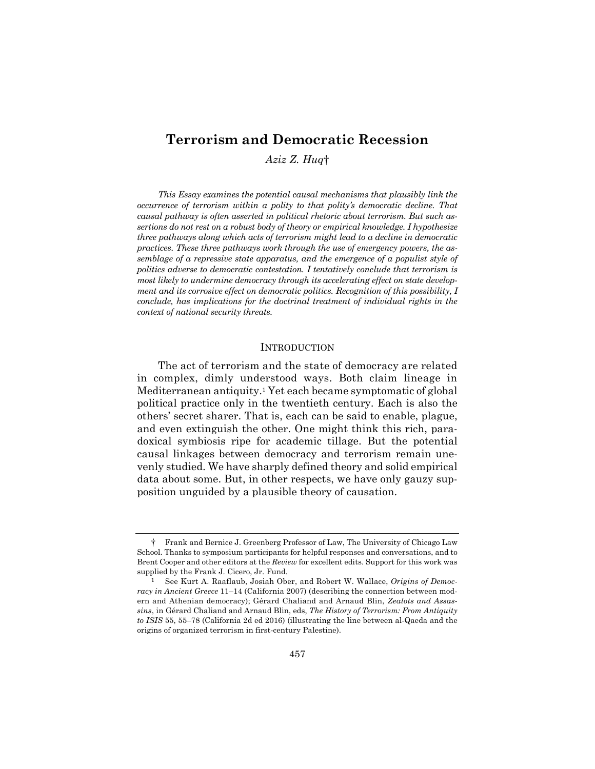# **Terrorism and Democratic Recession**

*Aziz Z. Huq*†

*This Essay examines the potential causal mechanisms that plausibly link the occurrence of terrorism within a polity to that polity's democratic decline. That causal pathway is often asserted in political rhetoric about terrorism. But such assertions do not rest on a robust body of theory or empirical knowledge. I hypothesize three pathways along which acts of terrorism might lead to a decline in democratic practices. These three pathways work through the use of emergency powers, the assemblage of a repressive state apparatus, and the emergence of a populist style of politics adverse to democratic contestation. I tentatively conclude that terrorism is most likely to undermine democracy through its accelerating effect on state development and its corrosive effect on democratic politics. Recognition of this possibility, I conclude, has implications for the doctrinal treatment of individual rights in the context of national security threats.* 

## **INTRODUCTION**

The act of terrorism and the state of democracy are related in complex, dimly understood ways. Both claim lineage in Mediterranean antiquity.1 Yet each became symptomatic of global political practice only in the twentieth century. Each is also the others' secret sharer. That is, each can be said to enable, plague, and even extinguish the other. One might think this rich, paradoxical symbiosis ripe for academic tillage. But the potential causal linkages between democracy and terrorism remain unevenly studied. We have sharply defined theory and solid empirical data about some. But, in other respects, we have only gauzy supposition unguided by a plausible theory of causation.

<sup>†</sup> Frank and Bernice J. Greenberg Professor of Law, The University of Chicago Law School. Thanks to symposium participants for helpful responses and conversations, and to Brent Cooper and other editors at the *Review* for excellent edits. Support for this work was supplied by the Frank J. Cicero, Jr. Fund.

<sup>1</sup> See Kurt A. Raaflaub, Josiah Ober, and Robert W. Wallace, *Origins of Democracy in Ancient Greece* 11–14 (California 2007) (describing the connection between modern and Athenian democracy); Gérard Chaliand and Arnaud Blin, *Zealots and Assassins*, in Gérard Chaliand and Arnaud Blin, eds, *The History of Terrorism: From Antiquity to ISIS* 55, 55–78 (California 2d ed 2016) (illustrating the line between al-Qaeda and the origins of organized terrorism in first-century Palestine).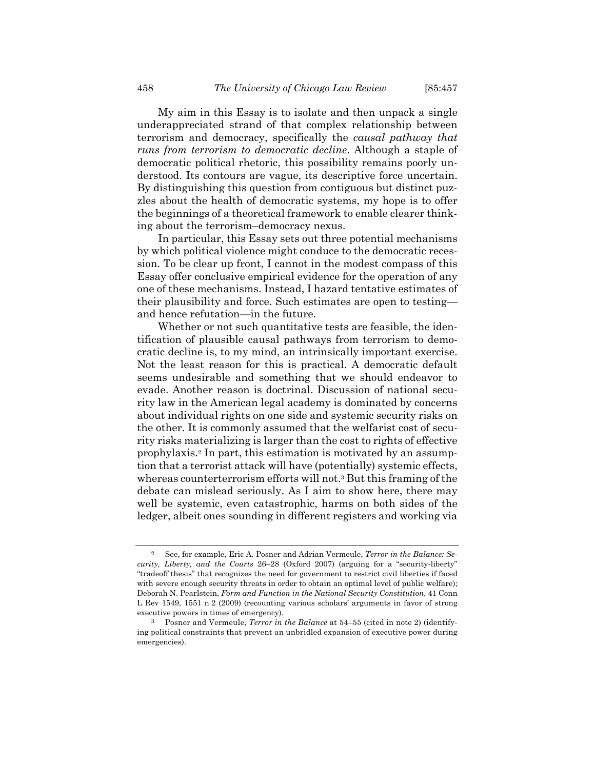My aim in this Essay is to isolate and then unpack a single underappreciated strand of that complex relationship between terrorism and democracy, specifically the *causal pathway that runs from terrorism to democratic decline*. Although a staple of democratic political rhetoric, this possibility remains poorly understood. Its contours are vague, its descriptive force uncertain. By distinguishing this question from contiguous but distinct puzzles about the health of democratic systems, my hope is to offer the beginnings of a theoretical framework to enable clearer thinking about the terrorism–democracy nexus.

In particular, this Essay sets out three potential mechanisms by which political violence might conduce to the democratic recession. To be clear up front, I cannot in the modest compass of this Essay offer conclusive empirical evidence for the operation of any one of these mechanisms. Instead, I hazard tentative estimates of their plausibility and force. Such estimates are open to testing and hence refutation—in the future.

Whether or not such quantitative tests are feasible, the identification of plausible causal pathways from terrorism to democratic decline is, to my mind, an intrinsically important exercise. Not the least reason for this is practical. A democratic default seems undesirable and something that we should endeavor to evade. Another reason is doctrinal. Discussion of national security law in the American legal academy is dominated by concerns about individual rights on one side and systemic security risks on the other. It is commonly assumed that the welfarist cost of security risks materializing is larger than the cost to rights of effective prophylaxis.2 In part, this estimation is motivated by an assumption that a terrorist attack will have (potentially) systemic effects, whereas counterterrorism efforts will not.3 But this framing of the debate can mislead seriously. As I aim to show here, there may well be systemic, even catastrophic, harms on both sides of the ledger, albeit ones sounding in different registers and working via

<sup>2</sup> See, for example, Eric A. Posner and Adrian Vermeule, *Terror in the Balance: Security, Liberty, and the Courts* 26–28 (Oxford 2007) (arguing for a "security-liberty" "tradeoff thesis" that recognizes the need for government to restrict civil liberties if faced with severe enough security threats in order to obtain an optimal level of public welfare); Deborah N. Pearlstein, *Form and Function in the National Security Constitution*, 41 Conn L Rev 1549, 1551 n 2 (2009) (recounting various scholars' arguments in favor of strong executive powers in times of emergency).

<sup>3</sup> Posner and Vermeule, *Terror in the Balance* at 54–55 (cited in note 2) (identifying political constraints that prevent an unbridled expansion of executive power during emergencies).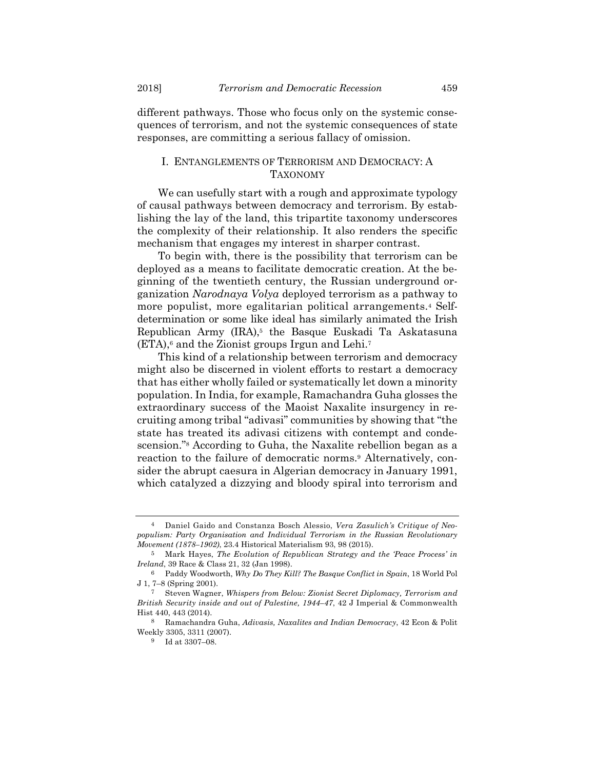different pathways. Those who focus only on the systemic consequences of terrorism, and not the systemic consequences of state responses, are committing a serious fallacy of omission.

# I. ENTANGLEMENTS OF TERRORISM AND DEMOCRACY: A TAXONOMY

We can usefully start with a rough and approximate typology of causal pathways between democracy and terrorism. By establishing the lay of the land, this tripartite taxonomy underscores the complexity of their relationship. It also renders the specific mechanism that engages my interest in sharper contrast.

To begin with, there is the possibility that terrorism can be deployed as a means to facilitate democratic creation. At the beginning of the twentieth century, the Russian underground organization *Narodnaya Volya* deployed terrorism as a pathway to more populist, more egalitarian political arrangements.4 Selfdetermination or some like ideal has similarly animated the Irish Republican Army  $(IRA)$ ,<sup>5</sup> the Basque Euskadi Ta Askatasuna  $(ETA)$ ,<sup>6</sup> and the Zionist groups Irgun and Lehi.<sup>7</sup>

This kind of a relationship between terrorism and democracy might also be discerned in violent efforts to restart a democracy that has either wholly failed or systematically let down a minority population. In India, for example, Ramachandra Guha glosses the extraordinary success of the Maoist Naxalite insurgency in recruiting among tribal "adivasi" communities by showing that "the state has treated its adivasi citizens with contempt and condescension."8 According to Guha, the Naxalite rebellion began as a reaction to the failure of democratic norms.<sup>9</sup> Alternatively, consider the abrupt caesura in Algerian democracy in January 1991, which catalyzed a dizzying and bloody spiral into terrorism and

<sup>4</sup> Daniel Gaido and Constanza Bosch Alessio, *Vera Zasulich's Critique of Neopopulism: Party Organisation and Individual Terrorism in the Russian Revolutionary Movement (1878–1902)*, 23.4 Historical Materialism 93, 98 (2015).

<sup>5</sup> Mark Hayes, *The Evolution of Republican Strategy and the 'Peace Process' in Ireland*, 39 Race & Class 21, 32 (Jan 1998).

<sup>6</sup> Paddy Woodworth, *Why Do They Kill? The Basque Conflict in Spain*, 18 World Pol J 1, 7–8 (Spring 2001).

<sup>7</sup> Steven Wagner, *Whispers from Below: Zionist Secret Diplomacy, Terrorism and British Security inside and out of Palestine, 1944–47*, 42 J Imperial & Commonwealth Hist 440, 443 (2014).

<sup>8</sup> Ramachandra Guha, *Adivasis, Naxalites and Indian Democracy*, 42 Econ & Polit Weekly 3305, 3311 (2007).

<sup>9</sup> Id at 3307–08.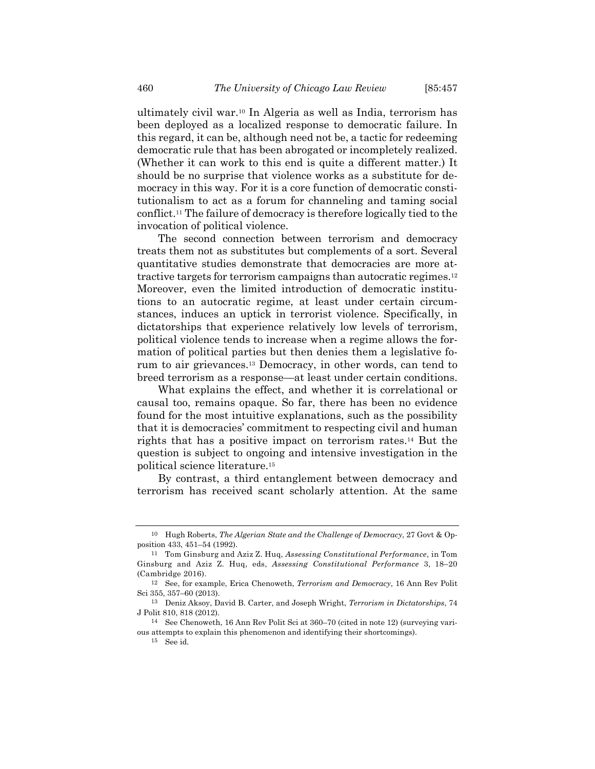ultimately civil war.10 In Algeria as well as India, terrorism has been deployed as a localized response to democratic failure. In this regard, it can be, although need not be, a tactic for redeeming democratic rule that has been abrogated or incompletely realized. (Whether it can work to this end is quite a different matter.) It should be no surprise that violence works as a substitute for democracy in this way. For it is a core function of democratic constitutionalism to act as a forum for channeling and taming social conflict.11 The failure of democracy is therefore logically tied to the invocation of political violence.

The second connection between terrorism and democracy treats them not as substitutes but complements of a sort. Several quantitative studies demonstrate that democracies are more attractive targets for terrorism campaigns than autocratic regimes.12 Moreover, even the limited introduction of democratic institutions to an autocratic regime, at least under certain circumstances, induces an uptick in terrorist violence. Specifically, in dictatorships that experience relatively low levels of terrorism, political violence tends to increase when a regime allows the formation of political parties but then denies them a legislative forum to air grievances.13 Democracy, in other words, can tend to breed terrorism as a response—at least under certain conditions.

What explains the effect, and whether it is correlational or causal too, remains opaque. So far, there has been no evidence found for the most intuitive explanations, such as the possibility that it is democracies' commitment to respecting civil and human rights that has a positive impact on terrorism rates.14 But the question is subject to ongoing and intensive investigation in the political science literature.15

By contrast, a third entanglement between democracy and terrorism has received scant scholarly attention. At the same

<sup>10</sup> Hugh Roberts, *The Algerian State and the Challenge of Democracy*, 27 Govt & Opposition 433, 451–54 (1992).

<sup>11</sup> Tom Ginsburg and Aziz Z. Huq, *Assessing Constitutional Performance*, in Tom Ginsburg and Aziz Z. Huq, eds, *Assessing Constitutional Performance* 3, 18–20 (Cambridge 2016).

<sup>12</sup> See, for example, Erica Chenoweth, *Terrorism and Democracy*, 16 Ann Rev Polit Sci 355, 357–60 (2013).

<sup>13</sup> Deniz Aksoy, David B. Carter, and Joseph Wright, *Terrorism in Dictatorships*, 74 J Polit 810, 818 (2012).

<sup>14</sup> See Chenoweth, 16 Ann Rev Polit Sci at 360–70 (cited in note 12) (surveying various attempts to explain this phenomenon and identifying their shortcomings).

<sup>15</sup> See id.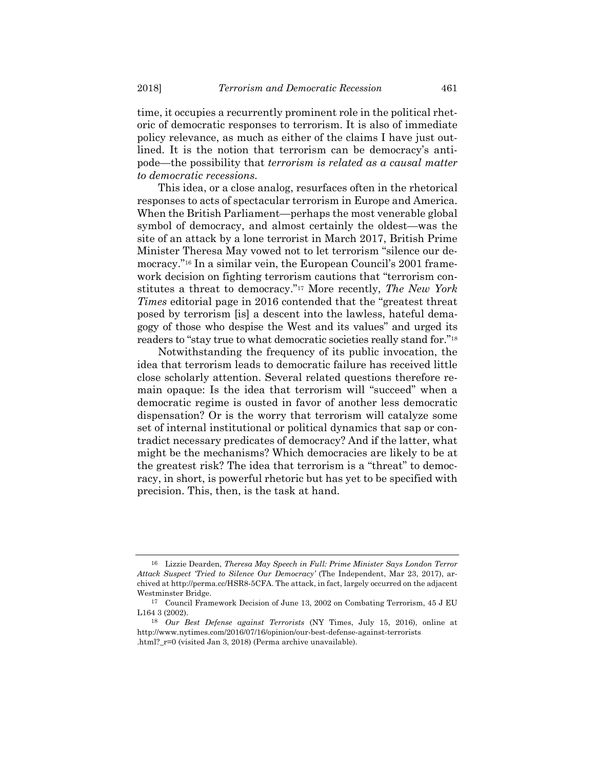time, it occupies a recurrently prominent role in the political rhetoric of democratic responses to terrorism. It is also of immediate policy relevance, as much as either of the claims I have just outlined. It is the notion that terrorism can be democracy's antipode—the possibility that *terrorism is related as a causal matter to democratic recessions*.

This idea, or a close analog, resurfaces often in the rhetorical responses to acts of spectacular terrorism in Europe and America. When the British Parliament—perhaps the most venerable global symbol of democracy, and almost certainly the oldest—was the site of an attack by a lone terrorist in March 2017, British Prime Minister Theresa May vowed not to let terrorism "silence our democracy."16 In a similar vein, the European Council's 2001 framework decision on fighting terrorism cautions that "terrorism constitutes a threat to democracy."17 More recently, *The New York Times* editorial page in 2016 contended that the "greatest threat posed by terrorism [is] a descent into the lawless, hateful demagogy of those who despise the West and its values" and urged its readers to "stay true to what democratic societies really stand for."18

Notwithstanding the frequency of its public invocation, the idea that terrorism leads to democratic failure has received little close scholarly attention. Several related questions therefore remain opaque: Is the idea that terrorism will "succeed" when a democratic regime is ousted in favor of another less democratic dispensation? Or is the worry that terrorism will catalyze some set of internal institutional or political dynamics that sap or contradict necessary predicates of democracy? And if the latter, what might be the mechanisms? Which democracies are likely to be at the greatest risk? The idea that terrorism is a "threat" to democracy, in short, is powerful rhetoric but has yet to be specified with precision. This, then, is the task at hand.

<sup>16</sup> Lizzie Dearden, *Theresa May Speech in Full: Prime Minister Says London Terror Attack Suspect 'Tried to Silence Our Democracy'* (The Independent, Mar 23, 2017), archived at http://perma.cc/HSR8-5CFA. The attack, in fact, largely occurred on the adjacent Westminster Bridge.

<sup>17</sup> Council Framework Decision of June 13, 2002 on Combating Terrorism, 45 J EU L164 3 (2002).

<sup>18</sup> *Our Best Defense against Terrorists* (NY Times, July 15, 2016), online at http://www.nytimes.com/2016/07/16/opinion/our-best-defense-against-terrorists .html?\_r=0 (visited Jan 3, 2018) (Perma archive unavailable).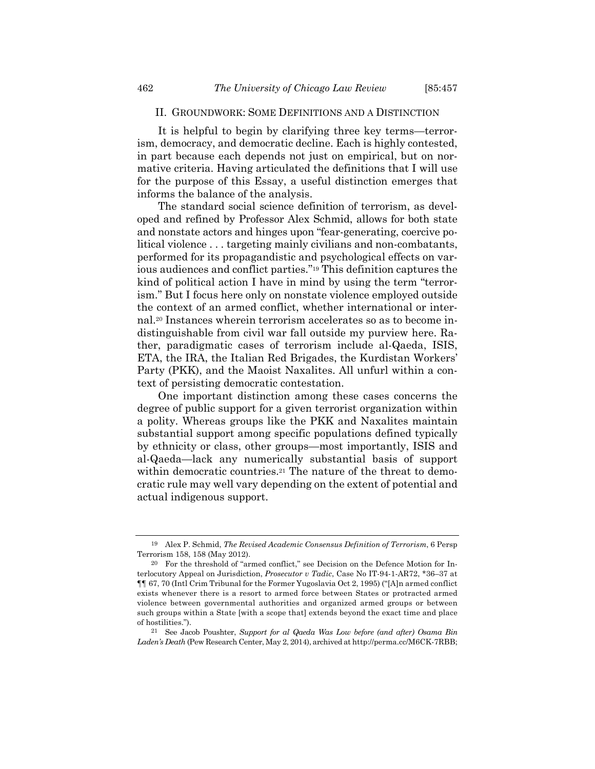### II. GROUNDWORK: SOME DEFINITIONS AND A DISTINCTION

It is helpful to begin by clarifying three key terms—terrorism, democracy, and democratic decline. Each is highly contested, in part because each depends not just on empirical, but on normative criteria. Having articulated the definitions that I will use for the purpose of this Essay, a useful distinction emerges that informs the balance of the analysis.

The standard social science definition of terrorism, as developed and refined by Professor Alex Schmid, allows for both state and nonstate actors and hinges upon "fear-generating, coercive political violence . . . targeting mainly civilians and non-combatants, performed for its propagandistic and psychological effects on various audiences and conflict parties."19 This definition captures the kind of political action I have in mind by using the term "terrorism." But I focus here only on nonstate violence employed outside the context of an armed conflict, whether international or internal.20 Instances wherein terrorism accelerates so as to become indistinguishable from civil war fall outside my purview here. Rather, paradigmatic cases of terrorism include al-Qaeda, ISIS, ETA, the IRA, the Italian Red Brigades, the Kurdistan Workers' Party (PKK), and the Maoist Naxalites. All unfurl within a context of persisting democratic contestation.

One important distinction among these cases concerns the degree of public support for a given terrorist organization within a polity. Whereas groups like the PKK and Naxalites maintain substantial support among specific populations defined typically by ethnicity or class, other groups—most importantly, ISIS and al-Qaeda—lack any numerically substantial basis of support within democratic countries.<sup>21</sup> The nature of the threat to democratic rule may well vary depending on the extent of potential and actual indigenous support.

<sup>19</sup> Alex P. Schmid, *The Revised Academic Consensus Definition of Terrorism*, 6 Persp Terrorism 158, 158 (May 2012).

<sup>20</sup> For the threshold of "armed conflict," see Decision on the Defence Motion for Interlocutory Appeal on Jurisdiction, *Prosecutor v Tadic*, Case No IT-94-1-AR72, \*36–37 at ¶¶ 67, 70 (Intl Crim Tribunal for the Former Yugoslavia Oct 2, 1995) ("[A]n armed conflict exists whenever there is a resort to armed force between States or protracted armed violence between governmental authorities and organized armed groups or between such groups within a State [with a scope that] extends beyond the exact time and place of hostilities.").

<sup>21</sup> See Jacob Poushter, *Support for al Qaeda Was Low before (and after) Osama Bin Laden's Death* (Pew Research Center, May 2, 2014), archived at http://perma.cc/M6CK-7RBB;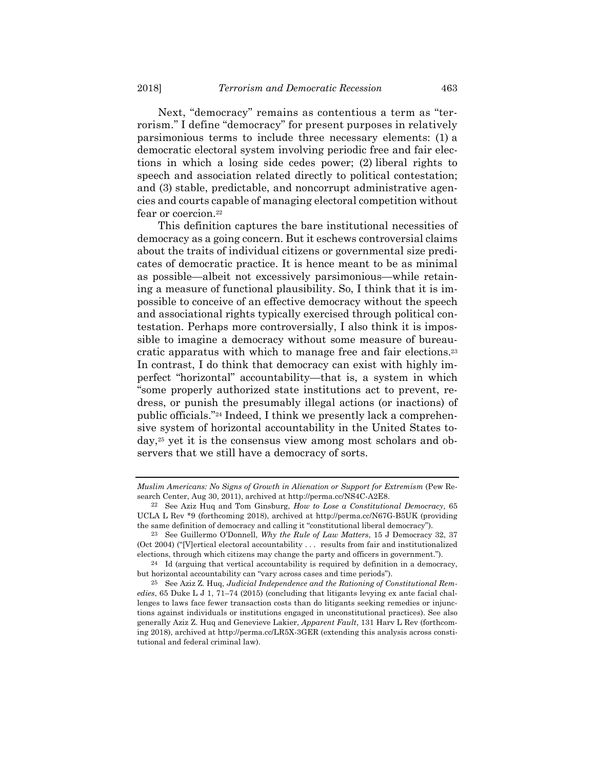Next, "democracy" remains as contentious a term as "terrorism." I define "democracy" for present purposes in relatively parsimonious terms to include three necessary elements: (1) a democratic electoral system involving periodic free and fair elections in which a losing side cedes power; (2) liberal rights to speech and association related directly to political contestation; and (3) stable, predictable, and noncorrupt administrative agencies and courts capable of managing electoral competition without fear or coercion.<sup>22</sup>

This definition captures the bare institutional necessities of democracy as a going concern. But it eschews controversial claims about the traits of individual citizens or governmental size predicates of democratic practice. It is hence meant to be as minimal as possible—albeit not excessively parsimonious—while retaining a measure of functional plausibility. So, I think that it is impossible to conceive of an effective democracy without the speech and associational rights typically exercised through political contestation. Perhaps more controversially, I also think it is impossible to imagine a democracy without some measure of bureaucratic apparatus with which to manage free and fair elections.23 In contrast, I do think that democracy can exist with highly imperfect "horizontal" accountability—that is, a system in which "some properly authorized state institutions act to prevent, redress, or punish the presumably illegal actions (or inactions) of public officials."24 Indeed, I think we presently lack a comprehensive system of horizontal accountability in the United States today,25 yet it is the consensus view among most scholars and observers that we still have a democracy of sorts.

*Muslim Americans: No Signs of Growth in Alienation or Support for Extremism* (Pew Research Center, Aug 30, 2011), archived at http://perma.cc/NS4C-A2E8.

<sup>22</sup> See Aziz Huq and Tom Ginsburg, *How to Lose a Constitutional Democracy*, 65 UCLA L Rev \*9 (forthcoming 2018), archived at http://perma.cc/N67G-B5UK (providing the same definition of democracy and calling it "constitutional liberal democracy").

<sup>23</sup> See Guillermo O'Donnell, *Why the Rule of Law Matters*, 15 J Democracy 32, 37 (Oct 2004) ("[V]ertical electoral accountability . . . results from fair and institutionalized elections, through which citizens may change the party and officers in government.").

 $24$  Id (arguing that vertical accountability is required by definition in a democracy, but horizontal accountability can "vary across cases and time periods").

<sup>25</sup> See Aziz Z. Huq, *Judicial Independence and the Rationing of Constitutional Remedies*, 65 Duke L J 1, 71–74 (2015) (concluding that litigants levying ex ante facial challenges to laws face fewer transaction costs than do litigants seeking remedies or injunctions against individuals or institutions engaged in unconstitutional practices). See also generally Aziz Z. Huq and Genevieve Lakier, *Apparent Fault*, 131 Harv L Rev (forthcoming 2018), archived at http://perma.cc/LR5X-3GER (extending this analysis across constitutional and federal criminal law).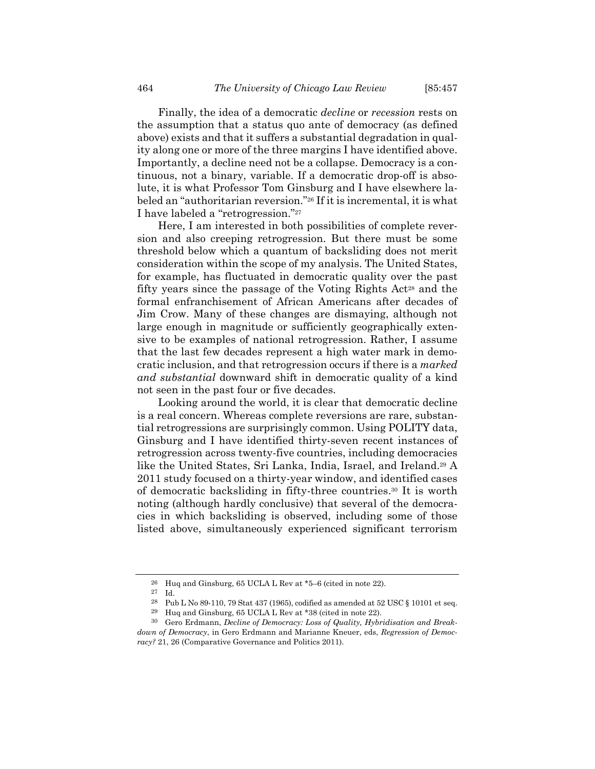Finally, the idea of a democratic *decline* or *recession* rests on the assumption that a status quo ante of democracy (as defined above) exists and that it suffers a substantial degradation in quality along one or more of the three margins I have identified above. Importantly, a decline need not be a collapse. Democracy is a continuous, not a binary, variable. If a democratic drop-off is absolute, it is what Professor Tom Ginsburg and I have elsewhere labeled an "authoritarian reversion."26 If it is incremental, it is what I have labeled a "retrogression."27

Here, I am interested in both possibilities of complete reversion and also creeping retrogression. But there must be some threshold below which a quantum of backsliding does not merit consideration within the scope of my analysis. The United States, for example, has fluctuated in democratic quality over the past fifty years since the passage of the Voting Rights  $Act^{28}$  and the formal enfranchisement of African Americans after decades of Jim Crow. Many of these changes are dismaying, although not large enough in magnitude or sufficiently geographically extensive to be examples of national retrogression. Rather, I assume that the last few decades represent a high water mark in democratic inclusion, and that retrogression occurs if there is a *marked and substantial* downward shift in democratic quality of a kind not seen in the past four or five decades.

Looking around the world, it is clear that democratic decline is a real concern. Whereas complete reversions are rare, substantial retrogressions are surprisingly common. Using POLITY data, Ginsburg and I have identified thirty-seven recent instances of retrogression across twenty-five countries, including democracies like the United States, Sri Lanka, India, Israel, and Ireland.29 A 2011 study focused on a thirty-year window, and identified cases of democratic backsliding in fifty-three countries.30 It is worth noting (although hardly conclusive) that several of the democracies in which backsliding is observed, including some of those listed above, simultaneously experienced significant terrorism

<sup>26</sup> Huq and Ginsburg, 65 UCLA L Rev at \*5–6 (cited in note 22).

<sup>27</sup> Id.

<sup>28</sup> Pub L No 89-110, 79 Stat 437 (1965), codified as amended at 52 USC § 10101 et seq.

<sup>29</sup> Huq and Ginsburg, 65 UCLA L Rev at \*38 (cited in note 22).

<sup>30</sup> Gero Erdmann, *Decline of Democracy: Loss of Quality, Hybridisation and Breakdown of Democracy*, in Gero Erdmann and Marianne Kneuer, eds, *Regression of Democracy?* 21, 26 (Comparative Governance and Politics 2011).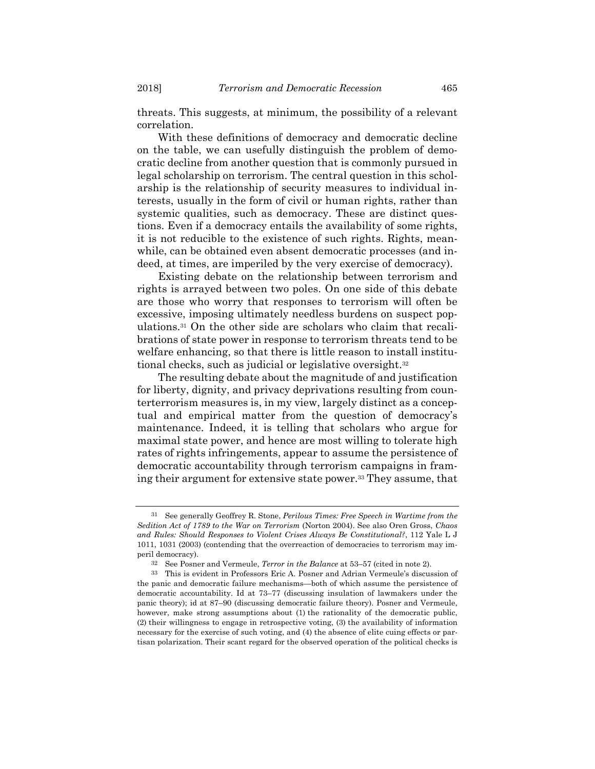threats. This suggests, at minimum, the possibility of a relevant correlation.

With these definitions of democracy and democratic decline on the table, we can usefully distinguish the problem of democratic decline from another question that is commonly pursued in legal scholarship on terrorism. The central question in this scholarship is the relationship of security measures to individual interests, usually in the form of civil or human rights, rather than systemic qualities, such as democracy. These are distinct questions. Even if a democracy entails the availability of some rights, it is not reducible to the existence of such rights. Rights, meanwhile, can be obtained even absent democratic processes (and indeed, at times, are imperiled by the very exercise of democracy).

Existing debate on the relationship between terrorism and rights is arrayed between two poles. On one side of this debate are those who worry that responses to terrorism will often be excessive, imposing ultimately needless burdens on suspect populations.31 On the other side are scholars who claim that recalibrations of state power in response to terrorism threats tend to be welfare enhancing, so that there is little reason to install institutional checks, such as judicial or legislative oversight.32

The resulting debate about the magnitude of and justification for liberty, dignity, and privacy deprivations resulting from counterterrorism measures is, in my view, largely distinct as a conceptual and empirical matter from the question of democracy's maintenance. Indeed, it is telling that scholars who argue for maximal state power, and hence are most willing to tolerate high rates of rights infringements, appear to assume the persistence of democratic accountability through terrorism campaigns in framing their argument for extensive state power.33 They assume, that

<sup>31</sup> See generally Geoffrey R. Stone, *Perilous Times: Free Speech in Wartime from the Sedition Act of 1789 to the War on Terrorism* (Norton 2004). See also Oren Gross, *Chaos and Rules: Should Responses to Violent Crises Always Be Constitutional?*, 112 Yale L J 1011, 1031 (2003) (contending that the overreaction of democracies to terrorism may imperil democracy).

<sup>32</sup> See Posner and Vermeule, *Terror in the Balance* at 53–57 (cited in note 2).

<sup>33</sup> This is evident in Professors Eric A. Posner and Adrian Vermeule's discussion of the panic and democratic failure mechanisms—both of which assume the persistence of democratic accountability. Id at 73–77 (discussing insulation of lawmakers under the panic theory); id at 87–90 (discussing democratic failure theory). Posner and Vermeule, however, make strong assumptions about (1) the rationality of the democratic public, (2) their willingness to engage in retrospective voting, (3) the availability of information necessary for the exercise of such voting, and (4) the absence of elite cuing effects or partisan polarization. Their scant regard for the observed operation of the political checks is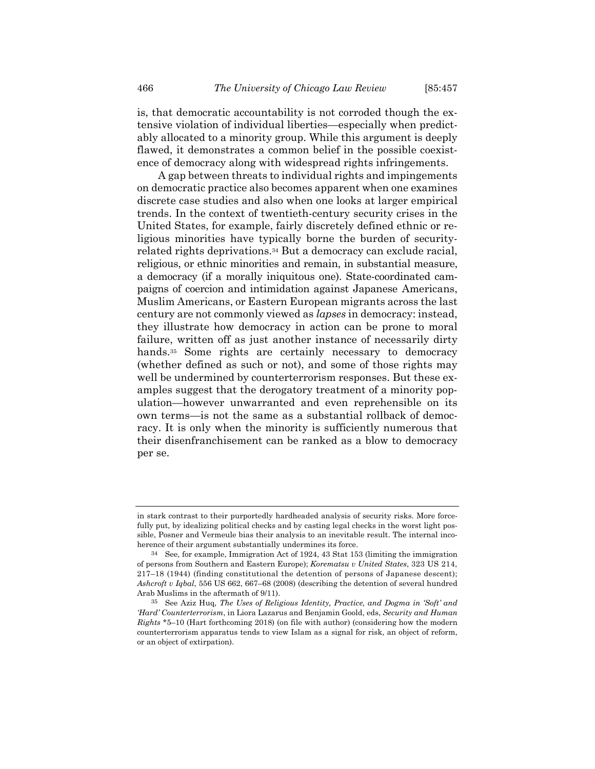is, that democratic accountability is not corroded though the extensive violation of individual liberties—especially when predictably allocated to a minority group. While this argument is deeply flawed, it demonstrates a common belief in the possible coexistence of democracy along with widespread rights infringements.

A gap between threats to individual rights and impingements on democratic practice also becomes apparent when one examines discrete case studies and also when one looks at larger empirical trends. In the context of twentieth-century security crises in the United States, for example, fairly discretely defined ethnic or religious minorities have typically borne the burden of securityrelated rights deprivations.34 But a democracy can exclude racial, religious, or ethnic minorities and remain, in substantial measure, a democracy (if a morally iniquitous one). State-coordinated campaigns of coercion and intimidation against Japanese Americans, Muslim Americans, or Eastern European migrants across the last century are not commonly viewed as *lapses* in democracy: instead, they illustrate how democracy in action can be prone to moral failure, written off as just another instance of necessarily dirty hands.<sup>35</sup> Some rights are certainly necessary to democracy (whether defined as such or not), and some of those rights may well be undermined by counterterrorism responses. But these examples suggest that the derogatory treatment of a minority population—however unwarranted and even reprehensible on its own terms—is not the same as a substantial rollback of democracy. It is only when the minority is sufficiently numerous that their disenfranchisement can be ranked as a blow to democracy per se.

in stark contrast to their purportedly hardheaded analysis of security risks. More forcefully put, by idealizing political checks and by casting legal checks in the worst light possible, Posner and Vermeule bias their analysis to an inevitable result. The internal incoherence of their argument substantially undermines its force.

<sup>34</sup> See, for example, Immigration Act of 1924, 43 Stat 153 (limiting the immigration of persons from Southern and Eastern Europe); *Korematsu v United States*, 323 US 214, 217–18 (1944) (finding constitutional the detention of persons of Japanese descent); *Ashcroft v Iqbal*, 556 US 662, 667–68 (2008) (describing the detention of several hundred Arab Muslims in the aftermath of 9/11).

<sup>35</sup> See Aziz Huq, *The Uses of Religious Identity, Practice, and Dogma in 'Soft' and 'Hard' Counterterrorism*, in Liora Lazarus and Benjamin Goold, eds, *Security and Human Rights* \*5–10 (Hart forthcoming 2018) (on file with author) (considering how the modern counterterrorism apparatus tends to view Islam as a signal for risk, an object of reform, or an object of extirpation).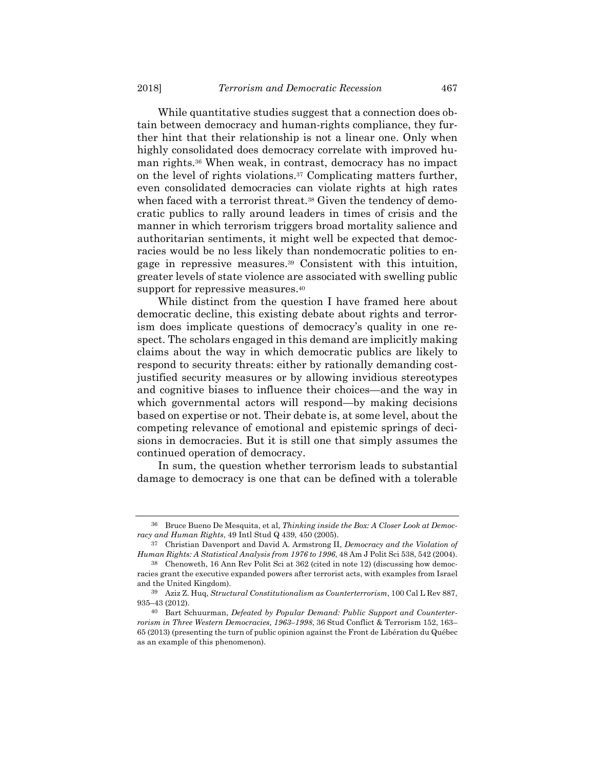While quantitative studies suggest that a connection does obtain between democracy and human-rights compliance, they further hint that their relationship is not a linear one. Only when highly consolidated does democracy correlate with improved human rights.36 When weak, in contrast, democracy has no impact on the level of rights violations.37 Complicating matters further, even consolidated democracies can violate rights at high rates when faced with a terrorist threat.<sup>38</sup> Given the tendency of democratic publics to rally around leaders in times of crisis and the manner in which terrorism triggers broad mortality salience and authoritarian sentiments, it might well be expected that democracies would be no less likely than nondemocratic polities to engage in repressive measures.39 Consistent with this intuition, greater levels of state violence are associated with swelling public support for repressive measures.<sup>40</sup>

While distinct from the question I have framed here about democratic decline, this existing debate about rights and terrorism does implicate questions of democracy's quality in one respect. The scholars engaged in this demand are implicitly making claims about the way in which democratic publics are likely to respond to security threats: either by rationally demanding costjustified security measures or by allowing invidious stereotypes and cognitive biases to influence their choices—and the way in which governmental actors will respond—by making decisions based on expertise or not. Their debate is, at some level, about the competing relevance of emotional and epistemic springs of decisions in democracies. But it is still one that simply assumes the continued operation of democracy.

In sum, the question whether terrorism leads to substantial damage to democracy is one that can be defined with a tolerable

<sup>36</sup> Bruce Bueno De Mesquita, et al, *Thinking inside the Box: A Closer Look at Democracy and Human Rights*, 49 Intl Stud Q 439, 450 (2005).

<sup>37</sup> Christian Davenport and David A. Armstrong II, *Democracy and the Violation of Human Rights: A Statistical Analysis from 1976 to 1996*, 48 Am J Polit Sci 538, 542 (2004).

<sup>38</sup> Chenoweth, 16 Ann Rev Polit Sci at 362 (cited in note 12) (discussing how democracies grant the executive expanded powers after terrorist acts, with examples from Israel and the United Kingdom).

<sup>39</sup> Aziz Z. Huq, *Structural Constitutionalism as Counterterrorism*, 100 Cal L Rev 887, 935–43 (2012).

<sup>40</sup> Bart Schuurman, *Defeated by Popular Demand: Public Support and Counterterrorism in Three Western Democracies, 1963–1998*, 36 Stud Conflict & Terrorism 152, 163– 65 (2013) (presenting the turn of public opinion against the Front de Libération du Québec as an example of this phenomenon).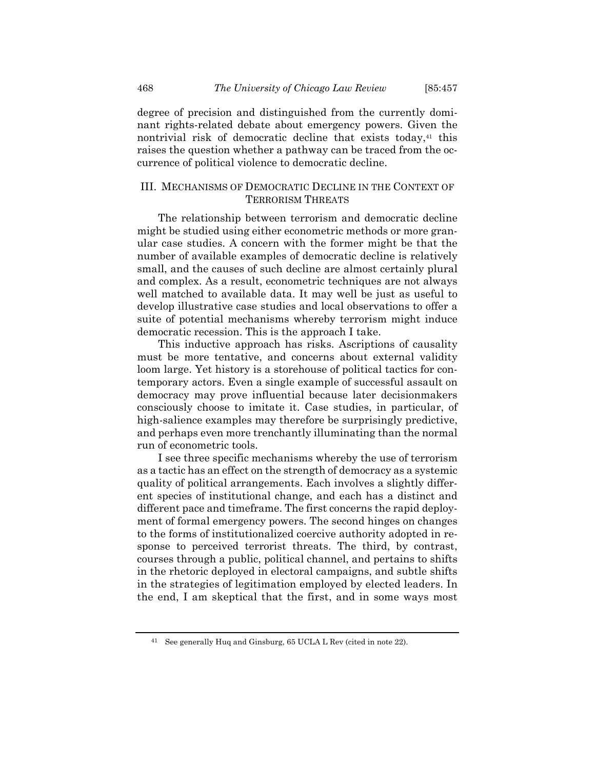degree of precision and distinguished from the currently dominant rights-related debate about emergency powers. Given the nontrivial risk of democratic decline that exists today,<sup>41</sup> this raises the question whether a pathway can be traced from the occurrence of political violence to democratic decline.

# III. MECHANISMS OF DEMOCRATIC DECLINE IN THE CONTEXT OF TERRORISM THREATS

The relationship between terrorism and democratic decline might be studied using either econometric methods or more granular case studies. A concern with the former might be that the number of available examples of democratic decline is relatively small, and the causes of such decline are almost certainly plural and complex. As a result, econometric techniques are not always well matched to available data. It may well be just as useful to develop illustrative case studies and local observations to offer a suite of potential mechanisms whereby terrorism might induce democratic recession. This is the approach I take.

This inductive approach has risks. Ascriptions of causality must be more tentative, and concerns about external validity loom large. Yet history is a storehouse of political tactics for contemporary actors. Even a single example of successful assault on democracy may prove influential because later decisionmakers consciously choose to imitate it. Case studies, in particular, of high-salience examples may therefore be surprisingly predictive, and perhaps even more trenchantly illuminating than the normal run of econometric tools.

I see three specific mechanisms whereby the use of terrorism as a tactic has an effect on the strength of democracy as a systemic quality of political arrangements. Each involves a slightly different species of institutional change, and each has a distinct and different pace and timeframe. The first concerns the rapid deployment of formal emergency powers. The second hinges on changes to the forms of institutionalized coercive authority adopted in response to perceived terrorist threats. The third, by contrast, courses through a public, political channel, and pertains to shifts in the rhetoric deployed in electoral campaigns, and subtle shifts in the strategies of legitimation employed by elected leaders. In the end, I am skeptical that the first, and in some ways most

<sup>41</sup> See generally Huq and Ginsburg, 65 UCLA L Rev (cited in note 22).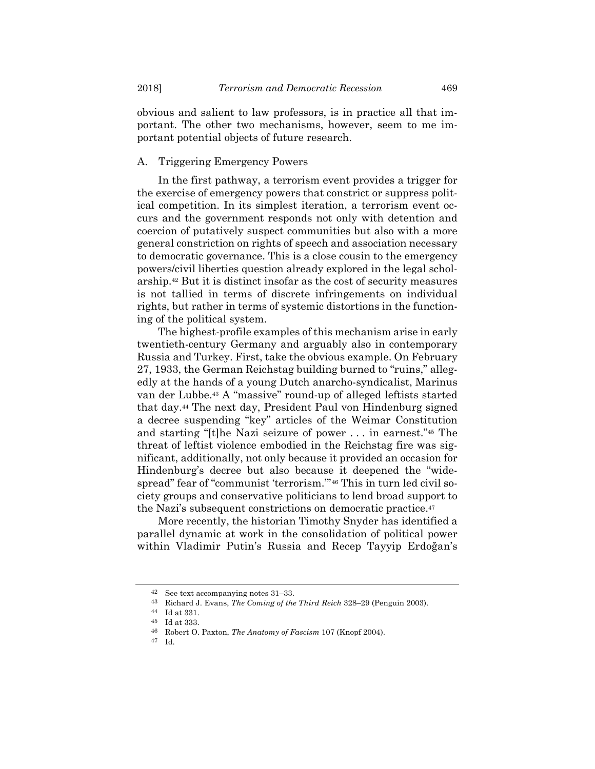obvious and salient to law professors, is in practice all that important. The other two mechanisms, however, seem to me important potential objects of future research.

## A. Triggering Emergency Powers

In the first pathway, a terrorism event provides a trigger for the exercise of emergency powers that constrict or suppress political competition. In its simplest iteration, a terrorism event occurs and the government responds not only with detention and coercion of putatively suspect communities but also with a more general constriction on rights of speech and association necessary to democratic governance. This is a close cousin to the emergency powers/civil liberties question already explored in the legal scholarship.42 But it is distinct insofar as the cost of security measures is not tallied in terms of discrete infringements on individual rights, but rather in terms of systemic distortions in the functioning of the political system.

The highest-profile examples of this mechanism arise in early twentieth-century Germany and arguably also in contemporary Russia and Turkey. First, take the obvious example. On February 27, 1933, the German Reichstag building burned to "ruins," allegedly at the hands of a young Dutch anarcho-syndicalist, Marinus van der Lubbe.43 A "massive" round-up of alleged leftists started that day.44 The next day, President Paul von Hindenburg signed a decree suspending "key" articles of the Weimar Constitution and starting "[t]he Nazi seizure of power . . . in earnest."45 The threat of leftist violence embodied in the Reichstag fire was significant, additionally, not only because it provided an occasion for Hindenburg's decree but also because it deepened the "widespread" fear of "communist 'terrorism.'"46 This in turn led civil society groups and conservative politicians to lend broad support to the Nazi's subsequent constrictions on democratic practice.47

More recently, the historian Timothy Snyder has identified a parallel dynamic at work in the consolidation of political power within Vladimir Putin's Russia and Recep Tayyip Erdoğan's

<sup>42</sup> See text accompanying notes 31–33.

<sup>43</sup> Richard J. Evans, *The Coming of the Third Reich* 328–29 (Penguin 2003).

<sup>44</sup> Id at 331.

<sup>45</sup> Id at 333.

<sup>46</sup> Robert O. Paxton, *The Anatomy of Fascism* 107 (Knopf 2004).

<sup>47</sup> Id.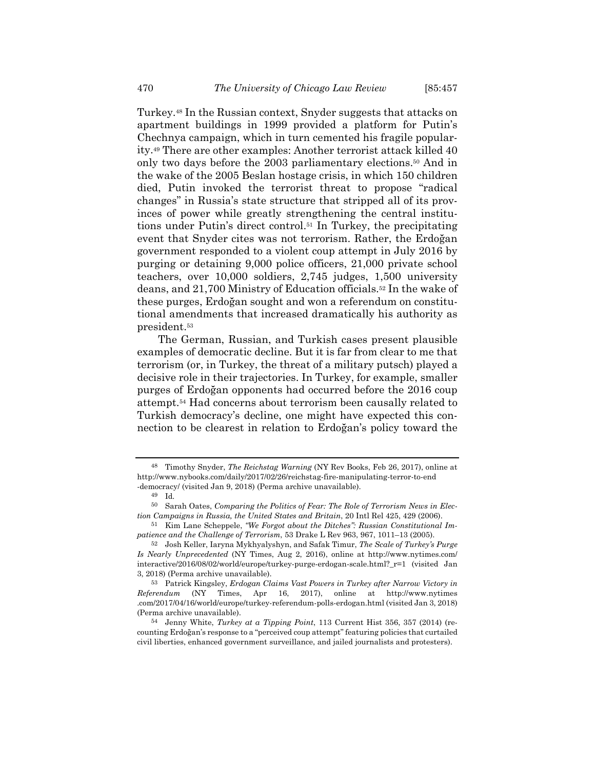Turkey.48 In the Russian context, Snyder suggests that attacks on apartment buildings in 1999 provided a platform for Putin's Chechnya campaign, which in turn cemented his fragile popularity.49 There are other examples: Another terrorist attack killed 40 only two days before the 2003 parliamentary elections.50 And in the wake of the 2005 Beslan hostage crisis, in which 150 children died, Putin invoked the terrorist threat to propose "radical changes" in Russia's state structure that stripped all of its provinces of power while greatly strengthening the central institutions under Putin's direct control.51 In Turkey, the precipitating event that Snyder cites was not terrorism. Rather, the Erdoğan government responded to a violent coup attempt in July 2016 by purging or detaining 9,000 police officers, 21,000 private school teachers, over 10,000 soldiers, 2,745 judges, 1,500 university deans, and 21,700 Ministry of Education officials.52 In the wake of these purges, Erdoğan sought and won a referendum on constitutional amendments that increased dramatically his authority as president.53

The German, Russian, and Turkish cases present plausible examples of democratic decline. But it is far from clear to me that terrorism (or, in Turkey, the threat of a military putsch) played a decisive role in their trajectories. In Turkey, for example, smaller purges of Erdoğan opponents had occurred before the 2016 coup attempt.54 Had concerns about terrorism been causally related to Turkish democracy's decline, one might have expected this connection to be clearest in relation to Erdoğan's policy toward the

<sup>48</sup> Timothy Snyder, *The Reichstag Warning* (NY Rev Books, Feb 26, 2017), online at http://www.nybooks.com/daily/2017/02/26/reichstag-fire-manipulating-terror-to-end -democracy/ (visited Jan 9, 2018) (Perma archive unavailable).

<sup>49</sup> Id*.*

<sup>50</sup> Sarah Oates, *Comparing the Politics of Fear: The Role of Terrorism News in Election Campaigns in Russia, the United States and Britain*, 20 Intl Rel 425, 429 (2006).

<sup>51</sup> Kim Lane Scheppele, *"We Forgot about the Ditches": Russian Constitutional Impatience and the Challenge of Terrorism*, 53 Drake L Rev 963, 967, 1011–13 (2005).

<sup>52</sup> Josh Keller, Iaryna Mykhyalyshyn, and Safak Timur, *The Scale of Turkey's Purge Is Nearly Unprecedented* (NY Times, Aug 2, 2016), online at http://www.nytimes.com/ interactive/2016/08/02/world/europe/turkey-purge-erdogan-scale.html?\_r=1 (visited Jan 3, 2018) (Perma archive unavailable).

<sup>53</sup> Patrick Kingsley, *Erdogan Claims Vast Powers in Turkey after Narrow Victory in Referendum* (NY Times, Apr 16, 2017), online at http://www.nytimes .com/2017/04/16/world/europe/turkey-referendum-polls-erdogan.html (visited Jan 3, 2018) (Perma archive unavailable).

<sup>54</sup> Jenny White, *Turkey at a Tipping Point*, 113 Current Hist 356, 357 (2014) (recounting Erdoğan's response to a "perceived coup attempt" featuring policies that curtailed civil liberties, enhanced government surveillance, and jailed journalists and protesters).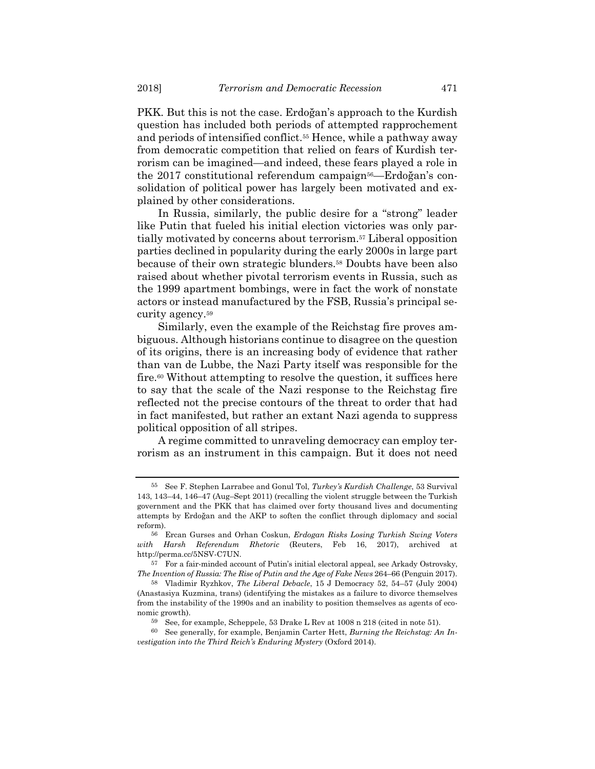PKK. But this is not the case. Erdoğan's approach to the Kurdish question has included both periods of attempted rapprochement and periods of intensified conflict.55 Hence, while a pathway away from democratic competition that relied on fears of Kurdish terrorism can be imagined—and indeed, these fears played a role in the 2017 constitutional referendum campaign<sup>56</sup>—Erdoğan's consolidation of political power has largely been motivated and explained by other considerations.

In Russia, similarly, the public desire for a "strong" leader like Putin that fueled his initial election victories was only partially motivated by concerns about terrorism.57 Liberal opposition parties declined in popularity during the early 2000s in large part because of their own strategic blunders.58 Doubts have been also raised about whether pivotal terrorism events in Russia, such as the 1999 apartment bombings, were in fact the work of nonstate actors or instead manufactured by the FSB, Russia's principal security agency.59

Similarly, even the example of the Reichstag fire proves ambiguous. Although historians continue to disagree on the question of its origins, there is an increasing body of evidence that rather than van de Lubbe, the Nazi Party itself was responsible for the fire.<sup>60</sup> Without attempting to resolve the question, it suffices here to say that the scale of the Nazi response to the Reichstag fire reflected not the precise contours of the threat to order that had in fact manifested, but rather an extant Nazi agenda to suppress political opposition of all stripes.

A regime committed to unraveling democracy can employ terrorism as an instrument in this campaign. But it does not need

<sup>55</sup> See F. Stephen Larrabee and Gonul Tol, *Turkey's Kurdish Challenge*, 53 Survival 143, 143–44, 146–47 (Aug–Sept 2011) (recalling the violent struggle between the Turkish government and the PKK that has claimed over forty thousand lives and documenting attempts by Erdoğan and the AKP to soften the conflict through diplomacy and social reform).

<sup>56</sup> Ercan Gurses and Orhan Coskun, *Erdogan Risks Losing Turkish Swing Voters with Harsh Referendum Rhetoric* (Reuters, Feb 16, 2017), archived at http://perma.cc/5NSV-C7UN.

<sup>57</sup> For a fair-minded account of Putin's initial electoral appeal, see Arkady Ostrovsky, *The Invention of Russia: The Rise of Putin and the Age of Fake News 264–66 (Penguin 2017).* 

<sup>58</sup> Vladimir Ryzhkov, *The Liberal Debacle*, 15 J Democracy 52, 54–57 (July 2004) (Anastasiya Kuzmina, trans) (identifying the mistakes as a failure to divorce themselves from the instability of the 1990s and an inability to position themselves as agents of economic growth).

<sup>59</sup> See, for example, Scheppele, 53 Drake L Rev at 1008 n 218 (cited in note 51).

<sup>60</sup> See generally, for example, Benjamin Carter Hett, *Burning the Reichstag: An Investigation into the Third Reich's Enduring Mystery* (Oxford 2014).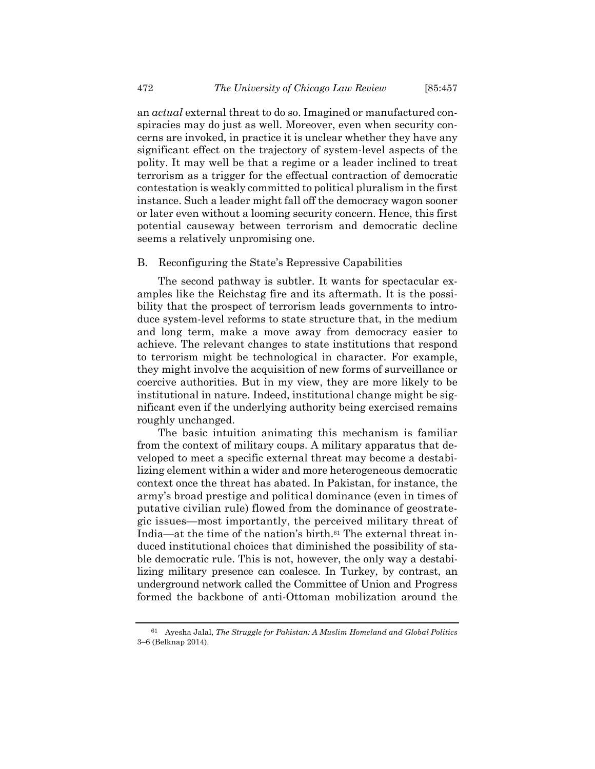an *actual* external threat to do so. Imagined or manufactured conspiracies may do just as well. Moreover, even when security concerns are invoked, in practice it is unclear whether they have any significant effect on the trajectory of system-level aspects of the polity. It may well be that a regime or a leader inclined to treat terrorism as a trigger for the effectual contraction of democratic contestation is weakly committed to political pluralism in the first instance. Such a leader might fall off the democracy wagon sooner or later even without a looming security concern. Hence, this first potential causeway between terrorism and democratic decline seems a relatively unpromising one.

### B. Reconfiguring the State's Repressive Capabilities

The second pathway is subtler. It wants for spectacular examples like the Reichstag fire and its aftermath. It is the possibility that the prospect of terrorism leads governments to introduce system-level reforms to state structure that, in the medium and long term, make a move away from democracy easier to achieve. The relevant changes to state institutions that respond to terrorism might be technological in character. For example, they might involve the acquisition of new forms of surveillance or coercive authorities. But in my view, they are more likely to be institutional in nature. Indeed, institutional change might be significant even if the underlying authority being exercised remains roughly unchanged.

The basic intuition animating this mechanism is familiar from the context of military coups. A military apparatus that developed to meet a specific external threat may become a destabilizing element within a wider and more heterogeneous democratic context once the threat has abated. In Pakistan, for instance, the army's broad prestige and political dominance (even in times of putative civilian rule) flowed from the dominance of geostrategic issues—most importantly, the perceived military threat of India—at the time of the nation's birth.<sup>61</sup> The external threat induced institutional choices that diminished the possibility of stable democratic rule. This is not, however, the only way a destabilizing military presence can coalesce. In Turkey, by contrast, an underground network called the Committee of Union and Progress formed the backbone of anti-Ottoman mobilization around the

<sup>61</sup> Ayesha Jalal, *The Struggle for Pakistan: A Muslim Homeland and Global Politics* 3–6 (Belknap 2014).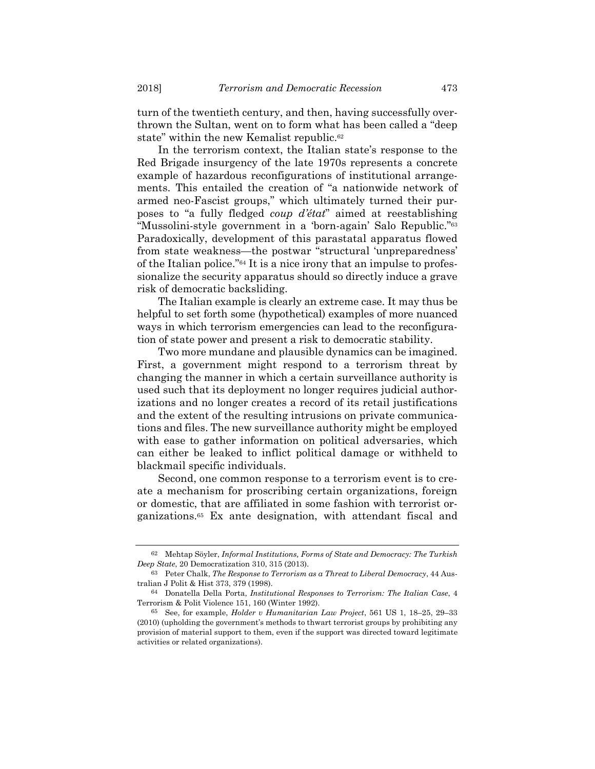turn of the twentieth century, and then, having successfully overthrown the Sultan, went on to form what has been called a "deep state" within the new Kemalist republic.<sup>62</sup>

In the terrorism context, the Italian state's response to the Red Brigade insurgency of the late 1970s represents a concrete example of hazardous reconfigurations of institutional arrangements. This entailed the creation of "a nationwide network of armed neo-Fascist groups," which ultimately turned their purposes to "a fully fledged *coup d'état*" aimed at reestablishing "Mussolini-style government in a 'born-again' Salo Republic."63 Paradoxically, development of this parastatal apparatus flowed from state weakness—the postwar "structural 'unpreparedness' of the Italian police."64 It is a nice irony that an impulse to professionalize the security apparatus should so directly induce a grave risk of democratic backsliding.

The Italian example is clearly an extreme case. It may thus be helpful to set forth some (hypothetical) examples of more nuanced ways in which terrorism emergencies can lead to the reconfiguration of state power and present a risk to democratic stability.

Two more mundane and plausible dynamics can be imagined. First, a government might respond to a terrorism threat by changing the manner in which a certain surveillance authority is used such that its deployment no longer requires judicial authorizations and no longer creates a record of its retail justifications and the extent of the resulting intrusions on private communications and files. The new surveillance authority might be employed with ease to gather information on political adversaries, which can either be leaked to inflict political damage or withheld to blackmail specific individuals.

Second, one common response to a terrorism event is to create a mechanism for proscribing certain organizations, foreign or domestic, that are affiliated in some fashion with terrorist organizations.65 Ex ante designation, with attendant fiscal and

<sup>62</sup> Mehtap Söyler, *Informal Institutions, Forms of State and Democracy: The Turkish Deep State*, 20 Democratization 310, 315 (2013).

<sup>63</sup> Peter Chalk, *The Response to Terrorism as a Threat to Liberal Democracy*, 44 Australian J Polit & Hist 373, 379 (1998).

<sup>64</sup> Donatella Della Porta, *Institutional Responses to Terrorism: The Italian Case*, 4 Terrorism & Polit Violence 151, 160 (Winter 1992).

<sup>65</sup> See, for example, *Holder v Humanitarian Law Project*, 561 US 1, 18–25, 29–33 (2010) (upholding the government's methods to thwart terrorist groups by prohibiting any provision of material support to them, even if the support was directed toward legitimate activities or related organizations).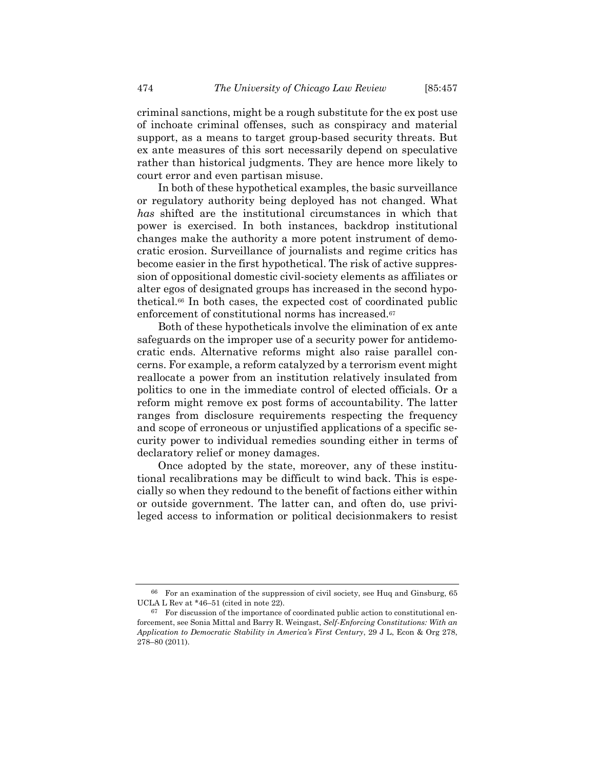criminal sanctions, might be a rough substitute for the ex post use of inchoate criminal offenses, such as conspiracy and material support, as a means to target group-based security threats. But ex ante measures of this sort necessarily depend on speculative rather than historical judgments. They are hence more likely to court error and even partisan misuse.

In both of these hypothetical examples, the basic surveillance or regulatory authority being deployed has not changed. What *has* shifted are the institutional circumstances in which that power is exercised. In both instances, backdrop institutional changes make the authority a more potent instrument of democratic erosion. Surveillance of journalists and regime critics has become easier in the first hypothetical. The risk of active suppression of oppositional domestic civil-society elements as affiliates or alter egos of designated groups has increased in the second hypothetical.66 In both cases, the expected cost of coordinated public enforcement of constitutional norms has increased.<sup>67</sup>

Both of these hypotheticals involve the elimination of ex ante safeguards on the improper use of a security power for antidemocratic ends. Alternative reforms might also raise parallel concerns. For example, a reform catalyzed by a terrorism event might reallocate a power from an institution relatively insulated from politics to one in the immediate control of elected officials. Or a reform might remove ex post forms of accountability. The latter ranges from disclosure requirements respecting the frequency and scope of erroneous or unjustified applications of a specific security power to individual remedies sounding either in terms of declaratory relief or money damages.

Once adopted by the state, moreover, any of these institutional recalibrations may be difficult to wind back. This is especially so when they redound to the benefit of factions either within or outside government. The latter can, and often do, use privileged access to information or political decisionmakers to resist

<sup>66</sup> For an examination of the suppression of civil society, see Huq and Ginsburg, 65 UCLA L Rev at \*46–51 (cited in note 22).

 $67$  For discussion of the importance of coordinated public action to constitutional enforcement, see Sonia Mittal and Barry R. Weingast, *Self-Enforcing Constitutions: With an Application to Democratic Stability in America's First Century*, 29 J L, Econ & Org 278, 278–80 (2011).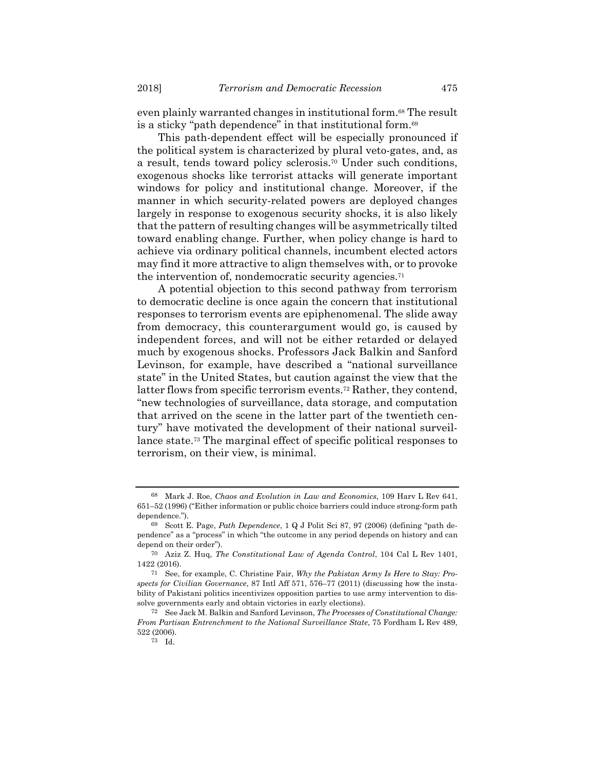even plainly warranted changes in institutional form.68 The result is a sticky "path dependence" in that institutional form.69

This path-dependent effect will be especially pronounced if the political system is characterized by plural veto-gates, and, as a result, tends toward policy sclerosis.70 Under such conditions, exogenous shocks like terrorist attacks will generate important windows for policy and institutional change. Moreover, if the manner in which security-related powers are deployed changes largely in response to exogenous security shocks, it is also likely that the pattern of resulting changes will be asymmetrically tilted toward enabling change. Further, when policy change is hard to achieve via ordinary political channels, incumbent elected actors may find it more attractive to align themselves with, or to provoke the intervention of, nondemocratic security agencies.71

A potential objection to this second pathway from terrorism to democratic decline is once again the concern that institutional responses to terrorism events are epiphenomenal. The slide away from democracy, this counterargument would go, is caused by independent forces, and will not be either retarded or delayed much by exogenous shocks. Professors Jack Balkin and Sanford Levinson, for example, have described a "national surveillance state" in the United States, but caution against the view that the latter flows from specific terrorism events.72 Rather, they contend, "new technologies of surveillance, data storage, and computation that arrived on the scene in the latter part of the twentieth century" have motivated the development of their national surveillance state.73 The marginal effect of specific political responses to terrorism, on their view, is minimal.

<sup>68</sup> Mark J. Roe, *Chaos and Evolution in Law and Economics*, 109 Harv L Rev 641, 651–52 (1996) ("Either information or public choice barriers could induce strong-form path dependence.").

<sup>69</sup> Scott E. Page, *Path Dependence*, 1 Q J Polit Sci 87, 97 (2006) (defining "path dependence" as a "process" in which "the outcome in any period depends on history and can depend on their order").

<sup>70</sup> Aziz Z. Huq, *The Constitutional Law of Agenda Control*, 104 Cal L Rev 1401, 1422 (2016).

<sup>71</sup> See, for example, C. Christine Fair, *Why the Pakistan Army Is Here to Stay: Prospects for Civilian Governance*, 87 Intl Aff 571, 576–77 (2011) (discussing how the instability of Pakistani politics incentivizes opposition parties to use army intervention to dissolve governments early and obtain victories in early elections).

<sup>72</sup> See Jack M. Balkin and Sanford Levinson, *The Processes of Constitutional Change: From Partisan Entrenchment to the National Surveillance State*, 75 Fordham L Rev 489, 522 (2006).

<sup>73</sup> Id.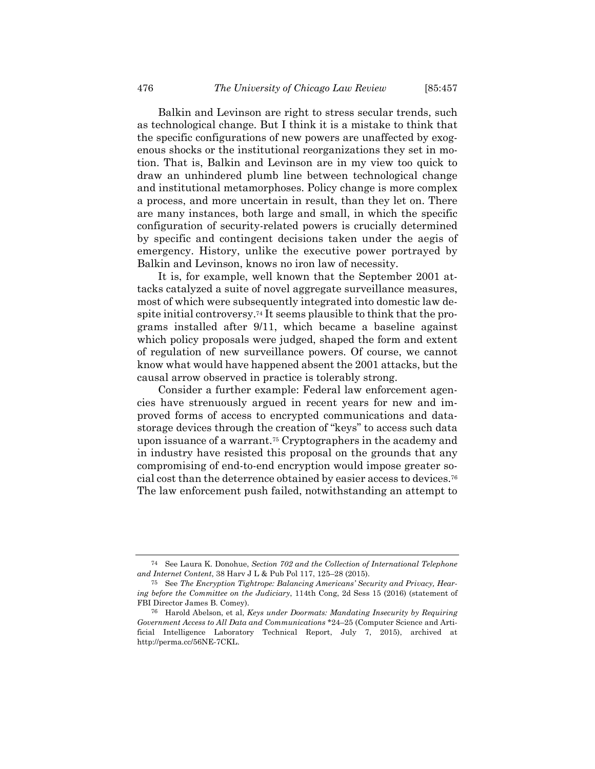Balkin and Levinson are right to stress secular trends, such as technological change. But I think it is a mistake to think that the specific configurations of new powers are unaffected by exogenous shocks or the institutional reorganizations they set in motion. That is, Balkin and Levinson are in my view too quick to draw an unhindered plumb line between technological change and institutional metamorphoses. Policy change is more complex a process, and more uncertain in result, than they let on. There are many instances, both large and small, in which the specific configuration of security-related powers is crucially determined by specific and contingent decisions taken under the aegis of emergency. History, unlike the executive power portrayed by Balkin and Levinson, knows no iron law of necessity.

It is, for example, well known that the September 2001 attacks catalyzed a suite of novel aggregate surveillance measures, most of which were subsequently integrated into domestic law despite initial controversy.74 It seems plausible to think that the programs installed after 9/11, which became a baseline against which policy proposals were judged, shaped the form and extent of regulation of new surveillance powers. Of course, we cannot know what would have happened absent the 2001 attacks, but the causal arrow observed in practice is tolerably strong.

Consider a further example: Federal law enforcement agencies have strenuously argued in recent years for new and improved forms of access to encrypted communications and datastorage devices through the creation of "keys" to access such data upon issuance of a warrant.75 Cryptographers in the academy and in industry have resisted this proposal on the grounds that any compromising of end-to-end encryption would impose greater social cost than the deterrence obtained by easier access to devices.76 The law enforcement push failed, notwithstanding an attempt to

<sup>74</sup> See Laura K. Donohue, *Section 702 and the Collection of International Telephone and Internet Content*, 38 Harv J L & Pub Pol 117, 125–28 (2015).

<sup>75</sup> See *The Encryption Tightrope: Balancing Americans' Security and Privacy, Hearing before the Committee on the Judiciary*, 114th Cong, 2d Sess 15 (2016) (statement of FBI Director James B. Comey).

<sup>76</sup> Harold Abelson, et al, *Keys under Doormats: Mandating Insecurity by Requiring Government Access to All Data and Communications* \*24–25 (Computer Science and Artificial Intelligence Laboratory Technical Report, July 7, 2015), archived at http://perma.cc/56NE-7CKL.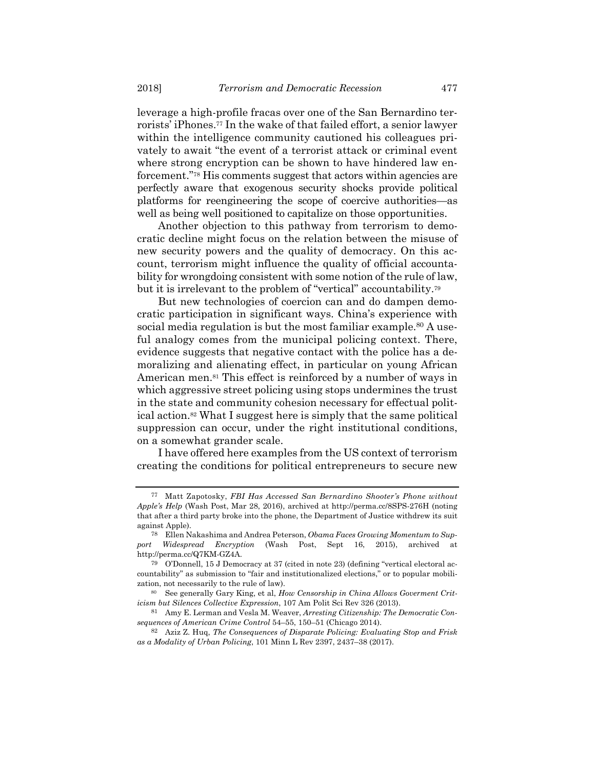leverage a high-profile fracas over one of the San Bernardino terrorists' iPhones.77 In the wake of that failed effort, a senior lawyer within the intelligence community cautioned his colleagues privately to await "the event of a terrorist attack or criminal event where strong encryption can be shown to have hindered law enforcement."78 His comments suggest that actors within agencies are perfectly aware that exogenous security shocks provide political platforms for reengineering the scope of coercive authorities—as well as being well positioned to capitalize on those opportunities.

Another objection to this pathway from terrorism to democratic decline might focus on the relation between the misuse of new security powers and the quality of democracy. On this account, terrorism might influence the quality of official accountability for wrongdoing consistent with some notion of the rule of law, but it is irrelevant to the problem of "vertical" accountability.79

But new technologies of coercion can and do dampen democratic participation in significant ways. China's experience with social media regulation is but the most familiar example.<sup>80</sup> A useful analogy comes from the municipal policing context. There, evidence suggests that negative contact with the police has a demoralizing and alienating effect, in particular on young African American men.81 This effect is reinforced by a number of ways in which aggressive street policing using stops undermines the trust in the state and community cohesion necessary for effectual political action.82 What I suggest here is simply that the same political suppression can occur, under the right institutional conditions, on a somewhat grander scale.

I have offered here examples from the US context of terrorism creating the conditions for political entrepreneurs to secure new

<sup>77</sup> Matt Zapotosky, *FBI Has Accessed San Bernardino Shooter's Phone without Apple's Help* (Wash Post, Mar 28, 2016), archived at http://perma.cc/8SPS-276H (noting that after a third party broke into the phone, the Department of Justice withdrew its suit against Apple).

<sup>78</sup> Ellen Nakashima and Andrea Peterson, *Obama Faces Growing Momentum to Support Widespread Encryption* (Wash Post, Sept 16, 2015), archived at http://perma.cc/Q7KM-GZ4A.

<sup>79</sup> O'Donnell, 15 J Democracy at 37 (cited in note 23) (defining "vertical electoral accountability" as submission to "fair and institutionalized elections," or to popular mobilization, not necessarily to the rule of law).

<sup>80</sup> See generally Gary King, et al, *How Censorship in China Allows Goverment Criticism but Silences Collective Expression*, 107 Am Polit Sci Rev 326 (2013).

<sup>81</sup> Amy E. Lerman and Vesla M. Weaver, *Arresting Citizenship: The Democratic Consequences of American Crime Control* 54–55, 150–51 (Chicago 2014).

<sup>82</sup> Aziz Z. Huq, *The Consequences of Disparate Policing: Evaluating Stop and Frisk as a Modality of Urban Policing*, 101 Minn L Rev 2397, 2437–38 (2017).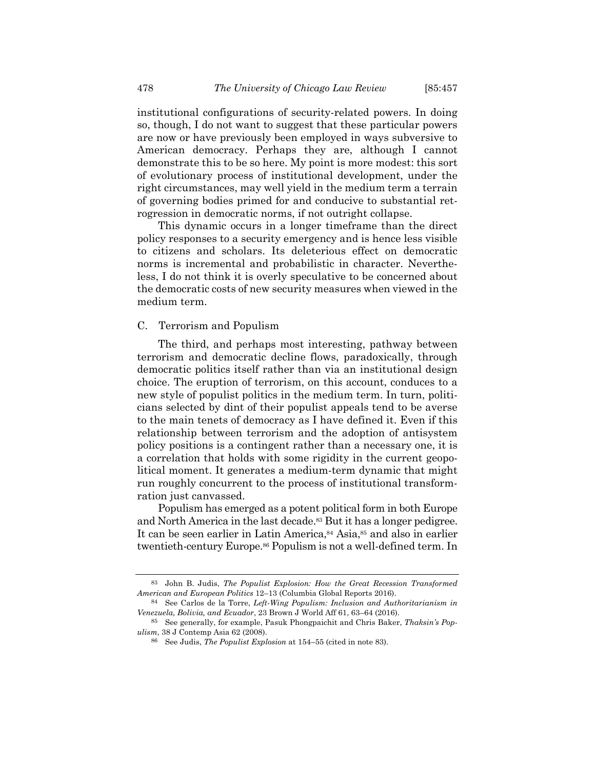institutional configurations of security-related powers. In doing so, though, I do not want to suggest that these particular powers are now or have previously been employed in ways subversive to American democracy. Perhaps they are, although I cannot demonstrate this to be so here. My point is more modest: this sort of evolutionary process of institutional development, under the right circumstances, may well yield in the medium term a terrain of governing bodies primed for and conducive to substantial retrogression in democratic norms, if not outright collapse.

This dynamic occurs in a longer timeframe than the direct policy responses to a security emergency and is hence less visible to citizens and scholars. Its deleterious effect on democratic norms is incremental and probabilistic in character. Nevertheless, I do not think it is overly speculative to be concerned about the democratic costs of new security measures when viewed in the medium term.

## C. Terrorism and Populism

The third, and perhaps most interesting, pathway between terrorism and democratic decline flows, paradoxically, through democratic politics itself rather than via an institutional design choice. The eruption of terrorism, on this account, conduces to a new style of populist politics in the medium term. In turn, politicians selected by dint of their populist appeals tend to be averse to the main tenets of democracy as I have defined it. Even if this relationship between terrorism and the adoption of antisystem policy positions is a contingent rather than a necessary one, it is a correlation that holds with some rigidity in the current geopolitical moment. It generates a medium-term dynamic that might run roughly concurrent to the process of institutional transformration just canvassed.

Populism has emerged as a potent political form in both Europe and North America in the last decade.<sup>83</sup> But it has a longer pedigree. It can be seen earlier in Latin America,<sup>84</sup> Asia,<sup>85</sup> and also in earlier twentieth-century Europe.86 Populism is not a well-defined term. In

<sup>83</sup> John B. Judis, *The Populist Explosion: How the Great Recession Transformed American and European Politics* 12–13 (Columbia Global Reports 2016).

<sup>84</sup> See Carlos de la Torre, *Left-Wing Populism: Inclusion and Authoritarianism in Venezuela, Bolivia, and Ecuador*, 23 Brown J World Aff 61, 63–64 (2016).

<sup>85</sup> See generally, for example, Pasuk Phongpaichit and Chris Baker, *Thaksin's Populism*, 38 J Contemp Asia 62 (2008).

<sup>86</sup> See Judis, *The Populist Explosion* at 154–55 (cited in note 83).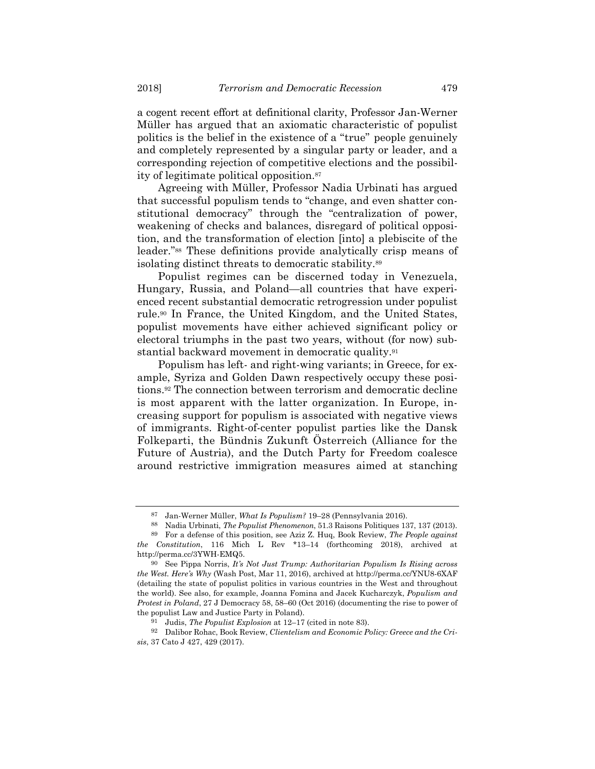a cogent recent effort at definitional clarity, Professor Jan-Werner Müller has argued that an axiomatic characteristic of populist politics is the belief in the existence of a "true" people genuinely and completely represented by a singular party or leader, and a corresponding rejection of competitive elections and the possibility of legitimate political opposition.87

Agreeing with Müller, Professor Nadia Urbinati has argued that successful populism tends to "change, and even shatter constitutional democracy" through the "centralization of power, weakening of checks and balances, disregard of political opposition, and the transformation of election [into] a plebiscite of the leader."88 These definitions provide analytically crisp means of isolating distinct threats to democratic stability.89

Populist regimes can be discerned today in Venezuela, Hungary, Russia, and Poland—all countries that have experienced recent substantial democratic retrogression under populist rule.90 In France, the United Kingdom, and the United States, populist movements have either achieved significant policy or electoral triumphs in the past two years, without (for now) substantial backward movement in democratic quality.91

Populism has left- and right-wing variants; in Greece, for example, Syriza and Golden Dawn respectively occupy these positions.92 The connection between terrorism and democratic decline is most apparent with the latter organization. In Europe, increasing support for populism is associated with negative views of immigrants. Right-of-center populist parties like the Dansk Folkeparti, the Bündnis Zukunft Österreich (Alliance for the Future of Austria), and the Dutch Party for Freedom coalesce around restrictive immigration measures aimed at stanching

<sup>87</sup> Jan-Werner Müller, *What Is Populism?* 19–28 (Pennsylvania 2016).

<sup>88</sup> Nadia Urbinati, *The Populist Phenomenon*, 51.3 Raisons Politiques 137, 137 (2013). 89 For a defense of this position, see Aziz Z. Huq, Book Review, *The People against* 

*the Constitution*, 116 Mich L Rev \*13–14 (forthcoming 2018), archived at http://perma.cc/3YWH-EMQ5.

<sup>90</sup> See Pippa Norris, *It's Not Just Trump: Authoritarian Populism Is Rising across the West. Here's Why* (Wash Post, Mar 11, 2016), archived at http://perma.cc/YNU8-6XAF (detailing the state of populist politics in various countries in the West and throughout the world). See also, for example, Joanna Fomina and Jacek Kucharczyk, *Populism and Protest in Poland*, 27 J Democracy 58, 58–60 (Oct 2016) (documenting the rise to power of the populist Law and Justice Party in Poland).

<sup>91</sup> Judis, *The Populist Explosion* at 12–17 (cited in note 83).

<sup>92</sup> Dalibor Rohac, Book Review, *Clientelism and Economic Policy: Greece and the Crisis*, 37 Cato J 427, 429 (2017).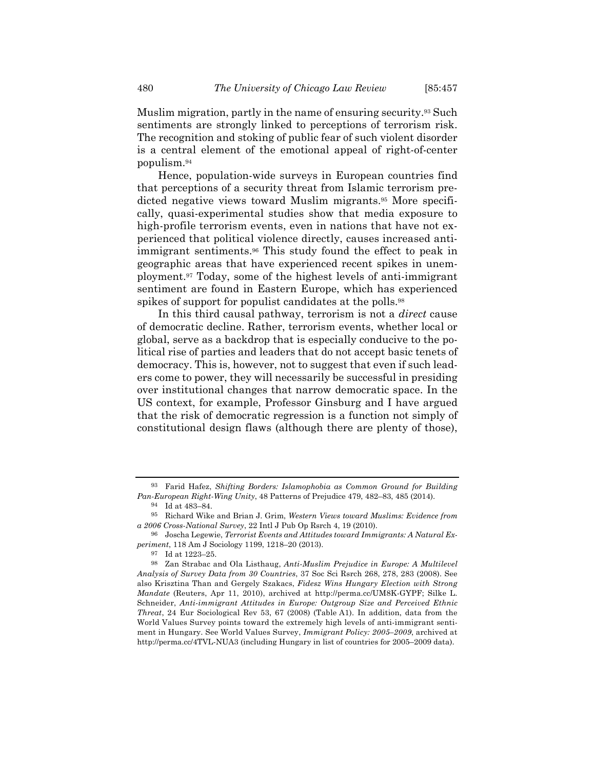Muslim migration, partly in the name of ensuring security.93 Such sentiments are strongly linked to perceptions of terrorism risk. The recognition and stoking of public fear of such violent disorder is a central element of the emotional appeal of right-of-center populism.94

Hence, population-wide surveys in European countries find that perceptions of a security threat from Islamic terrorism predicted negative views toward Muslim migrants.95 More specifically, quasi-experimental studies show that media exposure to high-profile terrorism events, even in nations that have not experienced that political violence directly, causes increased antiimmigrant sentiments.96 This study found the effect to peak in geographic areas that have experienced recent spikes in unemployment.97 Today, some of the highest levels of anti-immigrant sentiment are found in Eastern Europe, which has experienced spikes of support for populist candidates at the polls.<sup>98</sup>

In this third causal pathway, terrorism is not a *direct* cause of democratic decline. Rather, terrorism events, whether local or global, serve as a backdrop that is especially conducive to the political rise of parties and leaders that do not accept basic tenets of democracy. This is, however, not to suggest that even if such leaders come to power, they will necessarily be successful in presiding over institutional changes that narrow democratic space. In the US context, for example, Professor Ginsburg and I have argued that the risk of democratic regression is a function not simply of constitutional design flaws (although there are plenty of those),

<sup>93</sup> Farid Hafez, *Shifting Borders: Islamophobia as Common Ground for Building Pan-European Right-Wing Unity*, 48 Patterns of Prejudice 479, 482–83, 485 (2014).

<sup>94</sup> Id at 483–84.

<sup>95</sup> Richard Wike and Brian J. Grim, *Western Views toward Muslims: Evidence from a 2006 Cross-National Survey*, 22 Intl J Pub Op Rsrch 4, 19 (2010).

<sup>96</sup> Joscha Legewie, *Terrorist Events and Attitudes toward Immigrants: A Natural Experiment*, 118 Am J Sociology 1199, 1218–20 (2013).

<sup>97</sup> Id at 1223–25.

<sup>98</sup> Zan Strabac and Ola Listhaug, *Anti-Muslim Prejudice in Europe: A Multilevel Analysis of Survey Data from 30 Countries*, 37 Soc Sci Rsrch 268, 278, 283 (2008). See also Krisztina Than and Gergely Szakacs, *Fidesz Wins Hungary Election with Strong Mandate* (Reuters, Apr 11, 2010), archived at http://perma.cc/UM8K-GYPF; Silke L. Schneider, *Anti-immigrant Attitudes in Europe: Outgroup Size and Perceived Ethnic Threat*, 24 Eur Sociological Rev 53, 67 (2008) (Table A1). In addition, data from the World Values Survey points toward the extremely high levels of anti-immigrant sentiment in Hungary. See World Values Survey, *Immigrant Policy: 2005–2009*, archived at http://perma.cc/4TVL-NUA3 (including Hungary in list of countries for 2005–2009 data).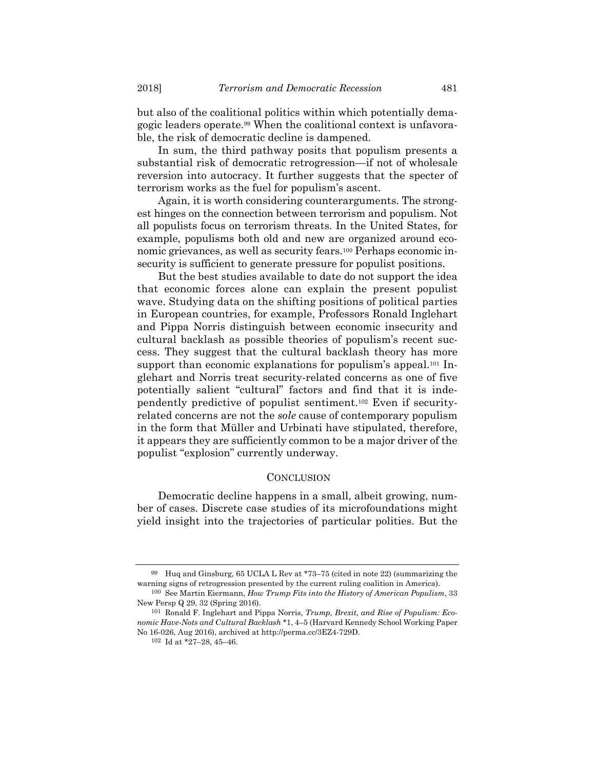but also of the coalitional politics within which potentially demagogic leaders operate.99 When the coalitional context is unfavorable, the risk of democratic decline is dampened.

In sum, the third pathway posits that populism presents a substantial risk of democratic retrogression—if not of wholesale reversion into autocracy. It further suggests that the specter of terrorism works as the fuel for populism's ascent.

Again, it is worth considering counterarguments. The strongest hinges on the connection between terrorism and populism. Not all populists focus on terrorism threats. In the United States, for example, populisms both old and new are organized around economic grievances, as well as security fears.100 Perhaps economic insecurity is sufficient to generate pressure for populist positions.

But the best studies available to date do not support the idea that economic forces alone can explain the present populist wave. Studying data on the shifting positions of political parties in European countries, for example, Professors Ronald Inglehart and Pippa Norris distinguish between economic insecurity and cultural backlash as possible theories of populism's recent success. They suggest that the cultural backlash theory has more support than economic explanations for populism's appeal.<sup>101</sup> Inglehart and Norris treat security-related concerns as one of five potentially salient "cultural" factors and find that it is independently predictive of populist sentiment.102 Even if securityrelated concerns are not the *sole* cause of contemporary populism in the form that Müller and Urbinati have stipulated, therefore, it appears they are sufficiently common to be a major driver of the populist "explosion" currently underway.

#### **CONCLUSION**

Democratic decline happens in a small, albeit growing, number of cases. Discrete case studies of its microfoundations might yield insight into the trajectories of particular polities. But the

<sup>&</sup>lt;sup>99</sup> Huq and Ginsburg, 65 UCLA L Rev at \*73–75 (cited in note 22) (summarizing the warning signs of retrogression presented by the current ruling coalition in America).

<sup>100</sup> See Martin Eiermann, *How Trump Fits into the History of American Populism*, 33 New Persp Q 29, 32 (Spring 2016).

<sup>101</sup> Ronald F. Inglehart and Pippa Norris, *Trump, Brexit, and Rise of Populism: Economic Have-Nots and Cultural Backlash* \*1, 4–5 (Harvard Kennedy School Working Paper No 16-026, Aug 2016), archived at http://perma.cc/3EZ4-729D.

<sup>102</sup> Id at \*27–28, 45–46.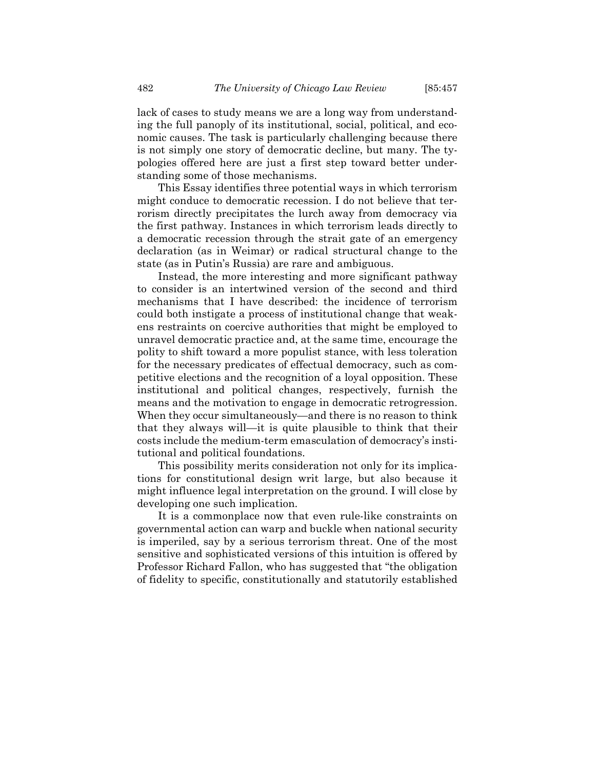lack of cases to study means we are a long way from understanding the full panoply of its institutional, social, political, and economic causes. The task is particularly challenging because there is not simply one story of democratic decline, but many. The typologies offered here are just a first step toward better understanding some of those mechanisms.

This Essay identifies three potential ways in which terrorism might conduce to democratic recession. I do not believe that terrorism directly precipitates the lurch away from democracy via the first pathway. Instances in which terrorism leads directly to a democratic recession through the strait gate of an emergency declaration (as in Weimar) or radical structural change to the state (as in Putin's Russia) are rare and ambiguous.

Instead, the more interesting and more significant pathway to consider is an intertwined version of the second and third mechanisms that I have described: the incidence of terrorism could both instigate a process of institutional change that weakens restraints on coercive authorities that might be employed to unravel democratic practice and, at the same time, encourage the polity to shift toward a more populist stance, with less toleration for the necessary predicates of effectual democracy, such as competitive elections and the recognition of a loyal opposition. These institutional and political changes, respectively, furnish the means and the motivation to engage in democratic retrogression. When they occur simultaneously—and there is no reason to think that they always will—it is quite plausible to think that their costs include the medium-term emasculation of democracy's institutional and political foundations.

This possibility merits consideration not only for its implications for constitutional design writ large, but also because it might influence legal interpretation on the ground. I will close by developing one such implication.

It is a commonplace now that even rule-like constraints on governmental action can warp and buckle when national security is imperiled, say by a serious terrorism threat. One of the most sensitive and sophisticated versions of this intuition is offered by Professor Richard Fallon, who has suggested that "the obligation of fidelity to specific, constitutionally and statutorily established